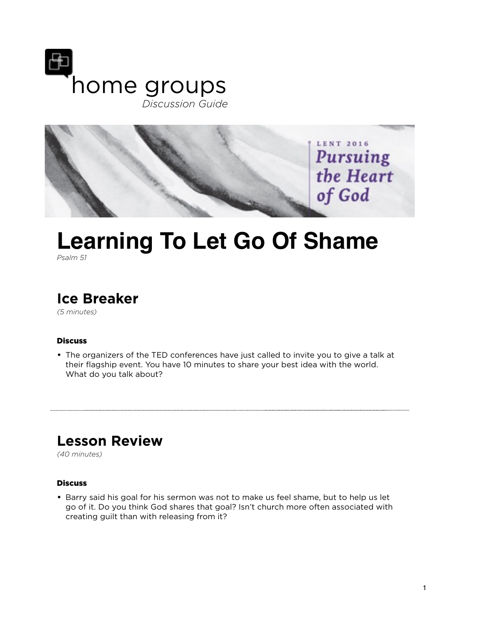



# **Learning To Let Go Of Shame**

*Psalm 51* 

### **Ice Breaker**

*(5 minutes)* 

#### **Discuss**

• The organizers of the TED conferences have just called to invite you to give a talk at their flagship event. You have 10 minutes to share your best idea with the world. What do you talk about?

### **Lesson Review**

*(40 minutes)* 

#### **Discuss**

• Barry said his goal for his sermon was not to make us feel shame, but to help us let go of it. Do you think God shares that goal? Isn't church more often associated with creating guilt than with releasing from it?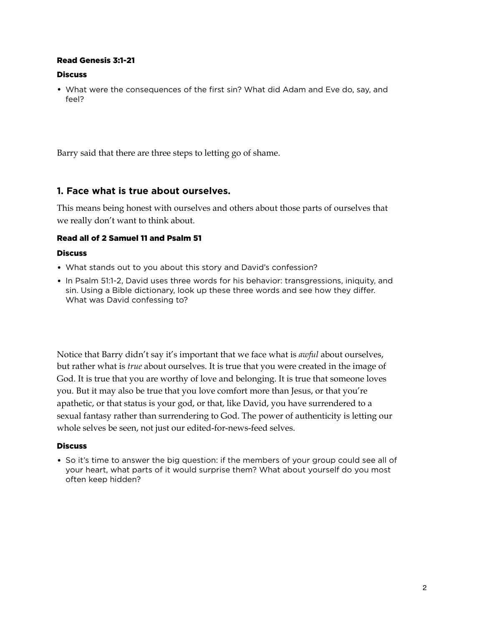#### Read Genesis 3:1-21

#### **Discuss**

• What were the consequences of the first sin? What did Adam and Eve do, say, and feel?

Barry said that there are three steps to letting go of shame.

#### **1. Face what is true about ourselves.**

This means being honest with ourselves and others about those parts of ourselves that we really don't want to think about.

#### Read all of 2 Samuel 11 and Psalm 51

#### **Discuss**

- What stands out to you about this story and David's confession?
- In Psalm 51:1-2, David uses three words for his behavior: transgressions, iniquity, and sin. Using a Bible dictionary, look up these three words and see how they differ. What was David confessing to?

Notice that Barry didn't say it's important that we face what is *awful* about ourselves, but rather what is *true* about ourselves. It is true that you were created in the image of God. It is true that you are worthy of love and belonging. It is true that someone loves you. But it may also be true that you love comfort more than Jesus, or that you're apathetic, or that status is your god, or that, like David, you have surrendered to a sexual fantasy rather than surrendering to God. The power of authenticity is letting our whole selves be seen, not just our edited-for-news-feed selves.

#### **Discuss**

• So it's time to answer the big question: if the members of your group could see all of your heart, what parts of it would surprise them? What about yourself do you most often keep hidden?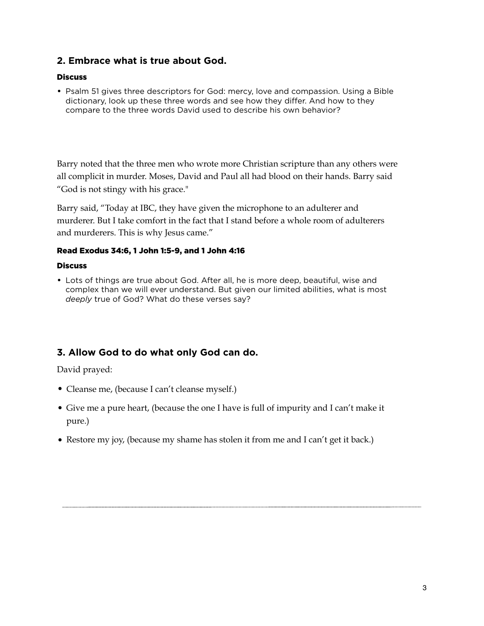#### **2. Embrace what is true about God.**

#### **Discuss**

• Psalm 51 gives three descriptors for God: mercy, love and compassion. Using a Bible dictionary, look up these three words and see how they differ. And how to they compare to the three words David used to describe his own behavior?

Barry noted that the three men who wrote more Christian scripture than any others were all complicit in murder. Moses, David and Paul all had blood on their hands. Barry said "God is not stingy with his grace."

Barry said, "Today at IBC, they have given the microphone to an adulterer and murderer. But I take comfort in the fact that I stand before a whole room of adulterers and murderers. This is why Jesus came."

#### Read Exodus 34:6, 1 John 1:5-9, and 1 John 4:16

#### **Discuss**

• Lots of things are true about God. After all, he is more deep, beautiful, wise and complex than we will ever understand. But given our limited abilities, what is most *deeply* true of God? What do these verses say?

#### **3. Allow God to do what only God can do.**

David prayed:

- Cleanse me, (because I can't cleanse myself.)
- Give me a pure heart, (because the one I have is full of impurity and I can't make it pure.)
- Restore my joy, (because my shame has stolen it from me and I can't get it back.)